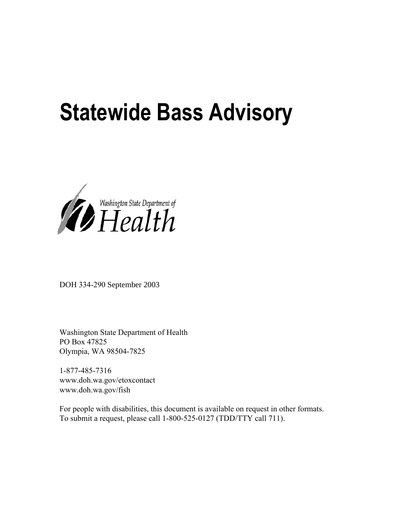# **Statewide Bass Advisory**



DOH 334-290 September 2003

Washington State Department of Health PO Box 47825 Olympia, WA 98504-7825

1-877-485-7316 www.doh.wa.gov/etoxcontact www.doh.wa.gov/fish

For people with disabilities, this document is available on request in other formats. To submit a request, please call 1-800-525-0127 (TDD/TTY call 711).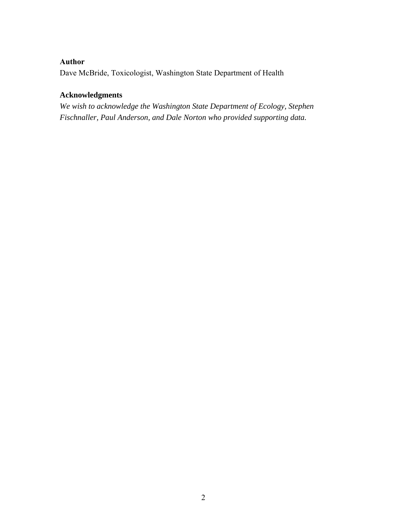# **Author**

Dave McBride, Toxicologist, Washington State Department of Health

# **Acknowledgments**

*We wish to acknowledge the Washington State Department of Ecology, Stephen Fischnaller, Paul Anderson, and Dale Norton who provided supporting data.*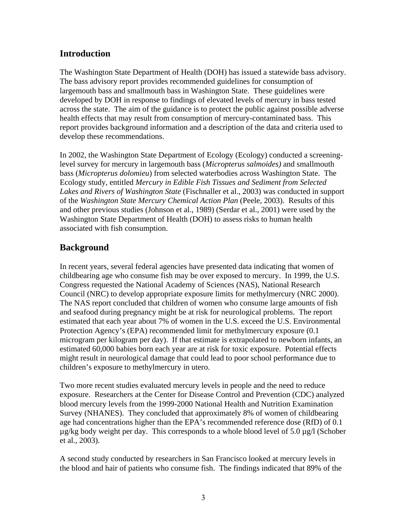# **Introduction**

The Washington State Department of Health (DOH) has issued a statewide bass advisory. The bass advisory report provides recommended guidelines for consumption of largemouth bass and smallmouth bass in Washington State. These guidelines were developed by DOH in response to findings of elevated levels of mercury in bass tested across the state. The aim of the guidance is to protect the public against possible adverse health effects that may result from consumption of mercury-contaminated bass. This report provides background information and a description of the data and criteria used to develop these recommendations.

In 2002, the Washington State Department of Ecology (Ecology) conducted a screeninglevel survey for mercury in largemouth bass (*Micropterus salmoides)* and smallmouth bass (*Micropterus dolomieu*) from selected waterbodies across Washington State. The Ecology study, entitled *Mercury in Edible Fish Tissues and Sediment from Selected Lakes and Rivers of Washington State* (Fischnaller et al., 2003) was conducted in support of the *Washington State Mercury Chemical Action Plan* (Peele, 2003). Results of this and other previous studies (Johnson et al., 1989) (Serdar et al., 2001) were used by the Washington State Department of Health (DOH) to assess risks to human health associated with fish consumption.

# **Background**

In recent years, several federal agencies have presented data indicating that women of childbearing age who consume fish may be over exposed to mercury. In 1999, the U.S. Congress requested the National Academy of Sciences (NAS), National Research Council (NRC) to develop appropriate exposure limits for methylmercury (NRC 2000). The NAS report concluded that children of women who consume large amounts of fish and seafood during pregnancy might be at risk for neurological problems. The report estimated that each year about 7% of women in the U.S. exceed the U.S. Environmental Protection Agency's (EPA) recommended limit for methylmercury exposure (0.1 microgram per kilogram per day). If that estimate is extrapolated to newborn infants, an estimated 60,000 babies born each year are at risk for toxic exposure. Potential effects might result in neurological damage that could lead to poor school performance due to children's exposure to methylmercury in utero.

Two more recent studies evaluated mercury levels in people and the need to reduce exposure. Researchers at the Center for Disease Control and Prevention (CDC) analyzed blood mercury levels from the 1999-2000 National Health and Nutrition Examination Survey (NHANES). They concluded that approximately 8% of women of childbearing age had concentrations higher than the EPA's recommended reference dose (RfD) of 0.1  $\mu$ g/kg body weight per day. This corresponds to a whole blood level of 5.0  $\mu$ g/l (Schober et al., 2003).

A second study conducted by researchers in San Francisco looked at mercury levels in the blood and hair of patients who consume fish. The findings indicated that 89% of the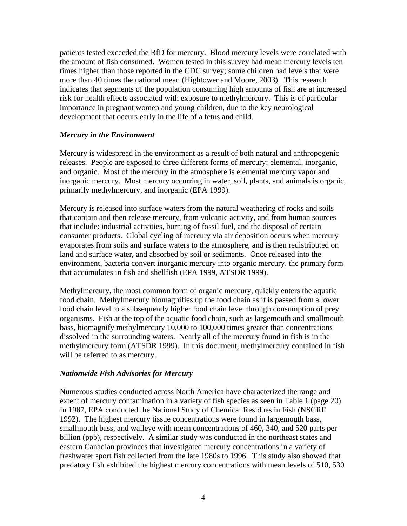patients tested exceeded the RfD for mercury. Blood mercury levels were correlated with the amount of fish consumed. Women tested in this survey had mean mercury levels ten times higher than those reported in the CDC survey; some children had levels that were more than 40 times the national mean (Hightower and Moore, 2003). This research indicates that segments of the population consuming high amounts of fish are at increased risk for health effects associated with exposure to methylmercury. This is of particular importance in pregnant women and young children, due to the key neurological development that occurs early in the life of a fetus and child.

## *Mercury in the Environment*

Mercury is widespread in the environment as a result of both natural and anthropogenic releases. People are exposed to three different forms of mercury; elemental, inorganic, and organic. Most of the mercury in the atmosphere is elemental mercury vapor and inorganic mercury. Most mercury occurring in water, soil, plants, and animals is organic, primarily methylmercury, and inorganic (EPA 1999).

Mercury is released into surface waters from the natural weathering of rocks and soils that contain and then release mercury, from volcanic activity, and from human sources that include: industrial activities, burning of fossil fuel, and the disposal of certain consumer products. Global cycling of mercury via air deposition occurs when mercury evaporates from soils and surface waters to the atmosphere, and is then redistributed on land and surface water, and absorbed by soil or sediments. Once released into the environment, bacteria convert inorganic mercury into organic mercury, the primary form that accumulates in fish and shellfish (EPA 1999, ATSDR 1999).

Methylmercury, the most common form of organic mercury, quickly enters the aquatic food chain. Methylmercury biomagnifies up the food chain as it is passed from a lower food chain level to a subsequently higher food chain level through consumption of prey organisms. Fish at the top of the aquatic food chain, such as largemouth and smallmouth bass, biomagnify methylmercury 10,000 to 100,000 times greater than concentrations dissolved in the surrounding waters. Nearly all of the mercury found in fish is in the methylmercury form (ATSDR 1999). In this document, methylmercury contained in fish will be referred to as mercury.

## *Nationwide Fish Advisories for Mercury*

Numerous studies conducted across North America have characterized the range and extent of mercury contamination in a variety of fish species as seen in Table 1 (page 20). In 1987, EPA conducted the National Study of Chemical Residues in Fish (NSCRF 1992). The highest mercury tissue concentrations were found in largemouth bass, smallmouth bass, and walleye with mean concentrations of 460, 340, and 520 parts per billion (ppb), respectively. A similar study was conducted in the northeast states and eastern Canadian provinces that investigated mercury concentrations in a variety of freshwater sport fish collected from the late 1980s to 1996. This study also showed that predatory fish exhibited the highest mercury concentrations with mean levels of 510, 530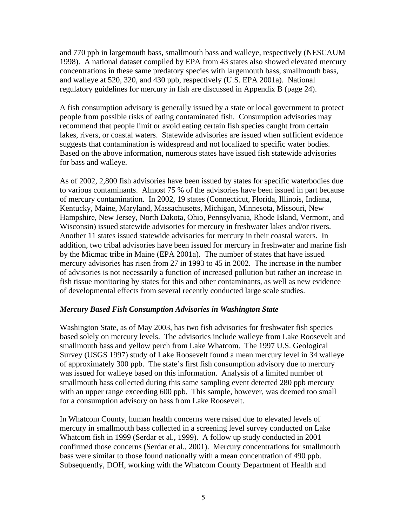and 770 ppb in largemouth bass, smallmouth bass and walleye, respectively (NESCAUM 1998). A national dataset compiled by EPA from 43 states also showed elevated mercury concentrations in these same predatory species with largemouth bass, smallmouth bass, and walleye at 520, 320, and 430 ppb, respectively (U.S. EPA 2001a). National regulatory guidelines for mercury in fish are discussed in Appendix B (page 24).

A fish consumption advisory is generally issued by a state or local government to protect people from possible risks of eating contaminated fish. Consumption advisories may recommend that people limit or avoid eating certain fish species caught from certain lakes, rivers, or coastal waters. Statewide advisories are issued when sufficient evidence suggests that contamination is widespread and not localized to specific water bodies. Based on the above information, numerous states have issued fish statewide advisories for bass and walleye.

As of 2002, 2,800 fish advisories have been issued by states for specific waterbodies due to various contaminants. Almost 75 % of the advisories have been issued in part because of mercury contamination. In 2002, 19 states (Connecticut, Florida, Illinois, Indiana, Kentucky, Maine, Maryland, Massachusetts, Michigan, Minnesota, Missouri, New Hampshire, New Jersey, North Dakota, Ohio, Pennsylvania, Rhode Island, Vermont, and Wisconsin) issued statewide advisories for mercury in freshwater lakes and/or rivers. Another 11 states issued statewide advisories for mercury in their coastal waters. In addition, two tribal advisories have been issued for mercury in freshwater and marine fish by the Micmac tribe in Maine (EPA 2001a). The number of states that have issued mercury advisories has risen from 27 in 1993 to 45 in 2002. The increase in the number of advisories is not necessarily a function of increased pollution but rather an increase in fish tissue monitoring by states for this and other contaminants, as well as new evidence of developmental effects from several recently conducted large scale studies.

## *Mercury Based Fish Consumption Advisories in Washington State*

Washington State, as of May 2003, has two fish advisories for freshwater fish species based solely on mercury levels. The advisories include walleye from Lake Roosevelt and smallmouth bass and yellow perch from Lake Whatcom. The 1997 U.S. Geological Survey (USGS 1997) study of Lake Roosevelt found a mean mercury level in 34 walleye of approximately 300 ppb. The state's first fish consumption advisory due to mercury was issued for walleye based on this information. Analysis of a limited number of smallmouth bass collected during this same sampling event detected 280 ppb mercury with an upper range exceeding 600 ppb. This sample, however, was deemed too small for a consumption advisory on bass from Lake Roosevelt.

In Whatcom County, human health concerns were raised due to elevated levels of mercury in smallmouth bass collected in a screening level survey conducted on Lake Whatcom fish in 1999 (Serdar et al., 1999). A follow up study conducted in 2001 confirmed those concerns (Serdar et al., 2001). Mercury concentrations for smallmouth bass were similar to those found nationally with a mean concentration of 490 ppb. Subsequently, DOH, working with the Whatcom County Department of Health and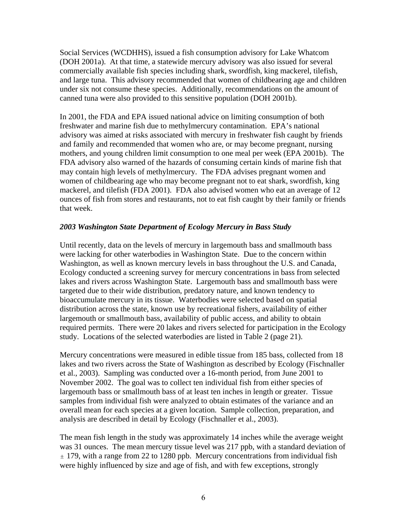Social Services (WCDHHS), issued a fish consumption advisory for Lake Whatcom (DOH 2001a). At that time, a statewide mercury advisory was also issued for several commercially available fish species including shark, swordfish, king mackerel, tilefish, and large tuna. This advisory recommended that women of childbearing age and children under six not consume these species. Additionally, recommendations on the amount of canned tuna were also provided to this sensitive population (DOH 2001b).

In 2001, the FDA and EPA issued national advice on limiting consumption of both freshwater and marine fish due to methylmercury contamination. EPA's national advisory was aimed at risks associated with mercury in freshwater fish caught by friends and family and recommended that women who are, or may become pregnant, nursing mothers, and young children limit consumption to one meal per week (EPA 2001b). The FDA advisory also warned of the hazards of consuming certain kinds of marine fish that may contain high levels of methylmercury. The FDA advises pregnant women and women of childbearing age who may become pregnant not to eat shark, swordfish, king mackerel, and tilefish (FDA 2001). FDA also advised women who eat an average of 12 ounces of fish from stores and restaurants, not to eat fish caught by their family or friends that week.

## *2003 Washington State Department of Ecology Mercury in Bass Study*

Until recently, data on the levels of mercury in largemouth bass and smallmouth bass were lacking for other waterbodies in Washington State. Due to the concern within Washington, as well as known mercury levels in bass throughout the U.S. and Canada, Ecology conducted a screening survey for mercury concentrations in bass from selected lakes and rivers across Washington State. Largemouth bass and smallmouth bass were targeted due to their wide distribution, predatory nature, and known tendency to bioaccumulate mercury in its tissue. Waterbodies were selected based on spatial distribution across the state, known use by recreational fishers, availability of either largemouth or smallmouth bass, availability of public access, and ability to obtain required permits. There were 20 lakes and rivers selected for participation in the Ecology study. Locations of the selected waterbodies are listed in Table 2 (page 21).

Mercury concentrations were measured in edible tissue from 185 bass, collected from 18 lakes and two rivers across the State of Washington as described by Ecology (Fischnaller et al., 2003). Sampling was conducted over a 16-month period, from June 2001 to November 2002. The goal was to collect ten individual fish from either species of largemouth bass or smallmouth bass of at least ten inches in length or greater. Tissue samples from individual fish were analyzed to obtain estimates of the variance and an overall mean for each species at a given location. Sample collection, preparation, and analysis are described in detail by Ecology (Fischnaller et al., 2003).

The mean fish length in the study was approximately 14 inches while the average weight was 31 ounces. The mean mercury tissue level was 217 ppb, with a standard deviation of  $\pm$  179, with a range from 22 to 1280 ppb. Mercury concentrations from individual fish were highly influenced by size and age of fish, and with few exceptions, strongly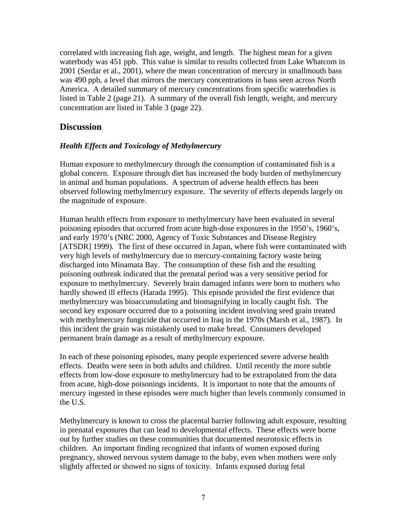correlated with increasing fish age, weight, and length. The highest mean for a given waterbody was 451 ppb. This value is similar to results collected from Lake Whatcom in 2001 (Serdar et al., 2001), where the mean concentration of mercury in smallmouth bass was 490 ppb, a level that mirrors the mercury concentrations in bass seen across North America. A detailed summary of mercury concentrations from specific waterbodies is listed in Table 2 (page 21). A summary of the overall fish length, weight, and mercury concentration are listed in Table 3 (page 22).

# **Discussion**

## *Health Effects and Toxicology of Methylmercury*

Human exposure to methylmercury through the consumption of contaminated fish is a global concern. Exposure through diet has increased the body burden of methylmercury in animal and human populations. A spectrum of adverse health effects has been observed following methylmercury exposure. The severity of effects depends largely on the magnitude of exposure.

Human health effects from exposure to methylmercury have been evaluated in several poisoning episodes that occurred from acute high-dose exposures in the 1950's, 1960's, and early 1970's (NRC 2000, Agency of Toxic Substances and Disease Registry [ATSDR] 1999). The first of these occurred in Japan, where fish were contaminated with very high levels of methylmercury due to mercury-containing factory waste being discharged into Minamata Bay. The consumption of these fish and the resulting poisoning outbreak indicated that the prenatal period was a very sensitive period for exposure to methylmercury. Severely brain damaged infants were born to mothers who hardly showed ill effects (Harada 1995). This episode provided the first evidence that methylmercury was bioaccumulating and biomagnifying in locally caught fish. The second key exposure occurred due to a poisoning incident involving seed grain treated with methylmercury fungicide that occurred in Iraq in the 1970s (Marsh et al., 1987). In this incident the grain was mistakenly used to make bread. Consumers developed permanent brain damage as a result of methylmercury exposure.

In each of these poisoning episodes, many people experienced severe adverse health effects. Deaths were seen in both adults and children. Until recently the more subtle effects from low-dose exposure to methylmercury had to be extrapolated from the data from acute, high-dose poisonings incidents. It is important to note that the amounts of mercury ingested in these episodes were much higher than levels commonly consumed in the U.S.

Methylmercury is known to cross the placental barrier following adult exposure, resulting in prenatal exposures that can lead to developmental effects. These effects were borne out by further studies on these communities that documented neurotoxic effects in children. An important finding recognized that infants of women exposed during pregnancy, showed nervous system damage to the baby, even when mothers were only slightly affected or showed no signs of toxicity. Infants exposed during fetal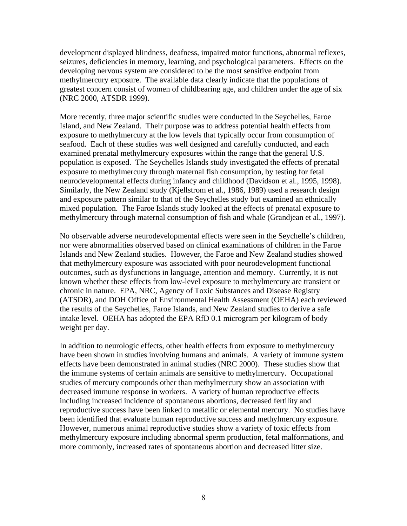development displayed blindness, deafness, impaired motor functions, abnormal reflexes, seizures, deficiencies in memory, learning, and psychological parameters. Effects on the developing nervous system are considered to be the most sensitive endpoint from methylmercury exposure. The available data clearly indicate that the populations of greatest concern consist of women of childbearing age, and children under the age of six (NRC 2000, ATSDR 1999).

More recently, three major scientific studies were conducted in the Seychelles, Faroe Island, and New Zealand. Their purpose was to address potential health effects from exposure to methylmercury at the low levels that typically occur from consumption of seafood. Each of these studies was well designed and carefully conducted, and each examined prenatal methylmercury exposures within the range that the general U.S. population is exposed. The Seychelles Islands study investigated the effects of prenatal exposure to methylmercury through maternal fish consumption, by testing for fetal neurodevelopmental effects during infancy and childhood (Davidson et al., 1995, 1998). Similarly, the New Zealand study (Kjellstrom et al., 1986, 1989) used a research design and exposure pattern similar to that of the Seychelles study but examined an ethnically mixed population. The Faroe Islands study looked at the effects of prenatal exposure to methylmercury through maternal consumption of fish and whale (Grandjean et al., 1997).

No observable adverse neurodevelopmental effects were seen in the Seychelle's children, nor were abnormalities observed based on clinical examinations of children in the Faroe Islands and New Zealand studies. However, the Faroe and New Zealand studies showed that methylmercury exposure was associated with poor neurodevelopment functional outcomes, such as dysfunctions in language, attention and memory. Currently, it is not known whether these effects from low-level exposure to methylmercury are transient or chronic in nature. EPA, NRC, Agency of Toxic Substances and Disease Registry (ATSDR), and DOH Office of Environmental Health Assessment (OEHA) each reviewed the results of the Seychelles, Faroe Islands, and New Zealand studies to derive a safe intake level. OEHA has adopted the EPA RfD 0.1 microgram per kilogram of body weight per day.

In addition to neurologic effects, other health effects from exposure to methylmercury have been shown in studies involving humans and animals. A variety of immune system effects have been demonstrated in animal studies (NRC 2000). These studies show that the immune systems of certain animals are sensitive to methylmercury. Occupational studies of mercury compounds other than methylmercury show an association with decreased immune response in workers. A variety of human reproductive effects including increased incidence of spontaneous abortions, decreased fertility and reproductive success have been linked to metallic or elemental mercury. No studies have been identified that evaluate human reproductive success and methylmercury exposure. However, numerous animal reproductive studies show a variety of toxic effects from methylmercury exposure including abnormal sperm production, fetal malformations, and more commonly, increased rates of spontaneous abortion and decreased litter size.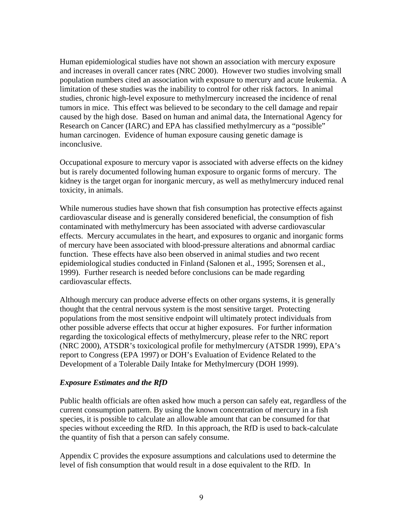Human epidemiological studies have not shown an association with mercury exposure and increases in overall cancer rates (NRC 2000). However two studies involving small population numbers cited an association with exposure to mercury and acute leukemia. A limitation of these studies was the inability to control for other risk factors. In animal studies, chronic high-level exposure to methylmercury increased the incidence of renal tumors in mice. This effect was believed to be secondary to the cell damage and repair caused by the high dose. Based on human and animal data, the International Agency for Research on Cancer (IARC) and EPA has classified methylmercury as a "possible" human carcinogen. Evidence of human exposure causing genetic damage is inconclusive.

Occupational exposure to mercury vapor is associated with adverse effects on the kidney but is rarely documented following human exposure to organic forms of mercury. The kidney is the target organ for inorganic mercury, as well as methylmercury induced renal toxicity, in animals.

While numerous studies have shown that fish consumption has protective effects against cardiovascular disease and is generally considered beneficial, the consumption of fish contaminated with methylmercury has been associated with adverse cardiovascular effects. Mercury accumulates in the heart, and exposures to organic and inorganic forms of mercury have been associated with blood-pressure alterations and abnormal cardiac function. These effects have also been observed in animal studies and two recent epidemiological studies conducted in Finland (Salonen et al., 1995; Sorensen et al., 1999). Further research is needed before conclusions can be made regarding cardiovascular effects.

Although mercury can produce adverse effects on other organs systems, it is generally thought that the central nervous system is the most sensitive target. Protecting populations from the most sensitive endpoint will ultimately protect individuals from other possible adverse effects that occur at higher exposures. For further information regarding the toxicological effects of methylmercury, please refer to the NRC report (NRC 2000), ATSDR's toxicological profile for methylmercury (ATSDR 1999), EPA's report to Congress (EPA 1997) or DOH's Evaluation of Evidence Related to the Development of a Tolerable Daily Intake for Methylmercury (DOH 1999).

## *Exposure Estimates and the RfD*

Public health officials are often asked how much a person can safely eat, regardless of the current consumption pattern. By using the known concentration of mercury in a fish species, it is possible to calculate an allowable amount that can be consumed for that species without exceeding the RfD. In this approach, the RfD is used to back-calculate the quantity of fish that a person can safely consume.

Appendix C provides the exposure assumptions and calculations used to determine the level of fish consumption that would result in a dose equivalent to the RfD. In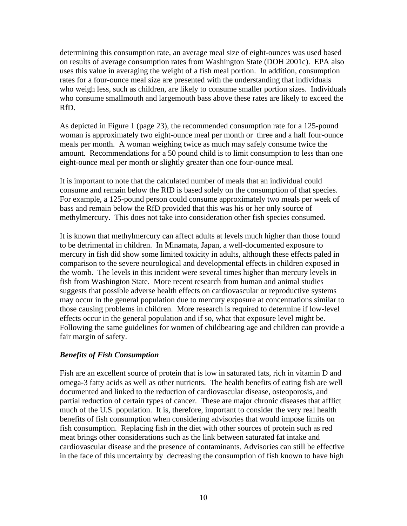determining this consumption rate, an average meal size of eight-ounces was used based on results of average consumption rates from Washington State (DOH 2001c). EPA also uses this value in averaging the weight of a fish meal portion. In addition, consumption rates for a four-ounce meal size are presented with the understanding that individuals who weigh less, such as children, are likely to consume smaller portion sizes. Individuals who consume smallmouth and largemouth bass above these rates are likely to exceed the RfD.

As depicted in Figure 1 (page 23), the recommended consumption rate for a 125-pound woman is approximately two eight-ounce meal per month or three and a half four-ounce meals per month. A woman weighing twice as much may safely consume twice the amount. Recommendations for a 50 pound child is to limit consumption to less than one eight-ounce meal per month or slightly greater than one four-ounce meal.

It is important to note that the calculated number of meals that an individual could consume and remain below the RfD is based solely on the consumption of that species. For example, a 125-pound person could consume approximately two meals per week of bass and remain below the RfD provided that this was his or her only source of methylmercury. This does not take into consideration other fish species consumed.

It is known that methylmercury can affect adults at levels much higher than those found to be detrimental in children. In Minamata, Japan, a well-documented exposure to mercury in fish did show some limited toxicity in adults, although these effects paled in comparison to the severe neurological and developmental effects in children exposed in the womb. The levels in this incident were several times higher than mercury levels in fish from Washington State. More recent research from human and animal studies suggests that possible adverse health effects on cardiovascular or reproductive systems may occur in the general population due to mercury exposure at concentrations similar to those causing problems in children. More research is required to determine if low-level effects occur in the general population and if so, what that exposure level might be. Following the same guidelines for women of childbearing age and children can provide a fair margin of safety.

## *Benefits of Fish Consumption*

Fish are an excellent source of protein that is low in saturated fats, rich in vitamin D and omega-3 fatty acids as well as other nutrients. The health benefits of eating fish are well documented and linked to the reduction of cardiovascular disease, osteoporosis, and partial reduction of certain types of cancer. These are major chronic diseases that afflict much of the U.S. population. It is, therefore, important to consider the very real health benefits of fish consumption when considering advisories that would impose limits on fish consumption. Replacing fish in the diet with other sources of protein such as red meat brings other considerations such as the link between saturated fat intake and cardiovascular disease and the presence of contaminants. Advisories can still be effective in the face of this uncertainty by decreasing the consumption of fish known to have high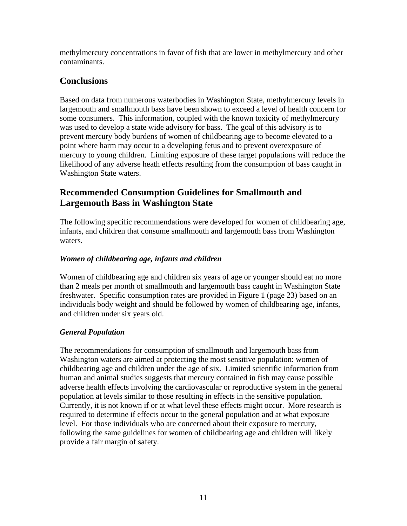methylmercury concentrations in favor of fish that are lower in methylmercury and other contaminants.

# **Conclusions**

Based on data from numerous waterbodies in Washington State, methylmercury levels in largemouth and smallmouth bass have been shown to exceed a level of health concern for some consumers. This information, coupled with the known toxicity of methylmercury was used to develop a state wide advisory for bass. The goal of this advisory is to prevent mercury body burdens of women of childbearing age to become elevated to a point where harm may occur to a developing fetus and to prevent overexposure of mercury to young children. Limiting exposure of these target populations will reduce the likelihood of any adverse heath effects resulting from the consumption of bass caught in Washington State waters.

# **Recommended Consumption Guidelines for Smallmouth and Largemouth Bass in Washington State**

The following specific recommendations were developed for women of childbearing age, infants, and children that consume smallmouth and largemouth bass from Washington waters.

# *Women of childbearing age, infants and children*

Women of childbearing age and children six years of age or younger should eat no more than 2 meals per month of smallmouth and largemouth bass caught in Washington State freshwater. Specific consumption rates are provided in Figure 1 (page 23) based on an individuals body weight and should be followed by women of childbearing age, infants, and children under six years old.

# *General Population*

The recommendations for consumption of smallmouth and largemouth bass from Washington waters are aimed at protecting the most sensitive population: women of childbearing age and children under the age of six. Limited scientific information from human and animal studies suggests that mercury contained in fish may cause possible adverse health effects involving the cardiovascular or reproductive system in the general population at levels similar to those resulting in effects in the sensitive population. Currently, it is not known if or at what level these effects might occur. More research is required to determine if effects occur to the general population and at what exposure level. For those individuals who are concerned about their exposure to mercury, following the same guidelines for women of childbearing age and children will likely provide a fair margin of safety.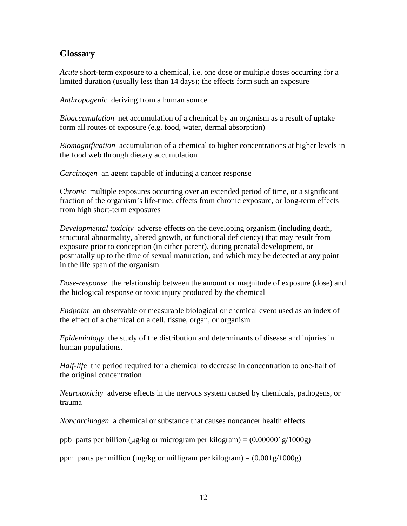# **Glossary**

*Acute* short-term exposure to a chemical, i.e. one dose or multiple doses occurring for a limited duration (usually less than 14 days); the effects form such an exposure

*Anthropogenic* deriving from a human source

*Bioaccumulation* net accumulation of a chemical by an organism as a result of uptake form all routes of exposure (e.g. food, water, dermal absorption)

*Biomagnification* accumulation of a chemical to higher concentrations at higher levels in the food web through dietary accumulation

*Carcinogen* an agent capable of inducing a cancer response

C*hronic* multiple exposures occurring over an extended period of time, or a significant fraction of the organism's life-time; effects from chronic exposure, or long-term effects from high short-term exposures

*Developmental toxicity* adverse effects on the developing organism (including death, structural abnormality, altered growth, or functional deficiency) that may result from exposure prior to conception (in either parent), during prenatal development, or postnatally up to the time of sexual maturation, and which may be detected at any point in the life span of the organism

*Dose-response* the relationship between the amount or magnitude of exposure (dose) and the biological response or toxic injury produced by the chemical

*Endpoint* an observable or measurable biological or chemical event used as an index of the effect of a chemical on a cell, tissue, organ, or organism

*Epidemiology* the study of the distribution and determinants of disease and injuries in human populations.

*Half-life* the period required for a chemical to decrease in concentration to one-half of the original concentration

*Neurotoxicity* adverse effects in the nervous system caused by chemicals, pathogens, or trauma

*Noncarcinogen* a chemical or substance that causes noncancer health effects

ppb parts per billion ( $\mu$ g/kg or microgram per kilogram) = (0.000001g/1000g)

ppm parts per million (mg/kg or milligram per kilogram) =  $(0.001g/1000g)$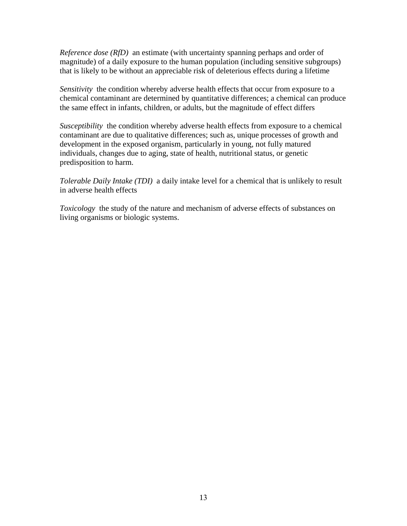*Reference dose (RfD)* an estimate (with uncertainty spanning perhaps and order of magnitude) of a daily exposure to the human population (including sensitive subgroups) that is likely to be without an appreciable risk of deleterious effects during a lifetime

*Sensitivity* the condition whereby adverse health effects that occur from exposure to a chemical contaminant are determined by quantitative differences; a chemical can produce the same effect in infants, children, or adults, but the magnitude of effect differs

*Susceptibility* the condition whereby adverse health effects from exposure to a chemical contaminant are due to qualitative differences; such as, unique processes of growth and development in the exposed organism, particularly in young, not fully matured individuals, changes due to aging, state of health, nutritional status, or genetic predisposition to harm.

*Tolerable Daily Intake (TDI)* a daily intake level for a chemical that is unlikely to result in adverse health effects

*Toxicology* the study of the nature and mechanism of adverse effects of substances on living organisms or biologic systems.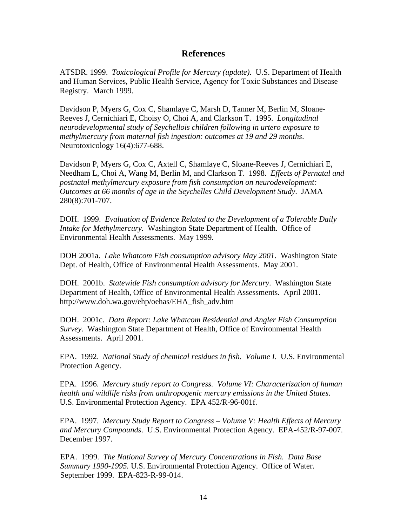## **References**

ATSDR. 1999. *Toxicological Profile for Mercury (update)*. U.S. Department of Health and Human Services, Public Health Service, Agency for Toxic Substances and Disease Registry. March 1999.

Davidson P, Myers G, Cox C, Shamlaye C, Marsh D, Tanner M, Berlin M, Sloane-Reeves J, Cernichiari E, Choisy O, Choi A, and Clarkson T. 1995. *Longitudinal neurodevelopmental study of Seychellois children following in urtero exposure to methylmercury from maternal fish ingestion: outcomes at 19 and 29 months*. Neurotoxicology 16(4):677-688.

Davidson P, Myers G, Cox C, Axtell C, Shamlaye C, Sloane-Reeves J, Cernichiari E, Needham L, Choi A, Wang M, Berlin M, and Clarkson T. 1998. *Effects of Pernatal and postnatal methylmercury exposure from fish consumption on neurodevelopment: Outcomes at 66 months of age in the Seychelles Child Development Study*. JAMA 280(8):701-707.

DOH. 1999. *Evaluation of Evidence Related to the Development of a Tolerable Daily Intake for Methylmercury.* Washington State Department of Health. Office of Environmental Health Assessments. May 1999.

DOH 2001a. *Lake Whatcom Fish consumption advisory May 2001*. Washington State Dept. of Health, Office of Environmental Health Assessments. May 2001.

DOH. 2001b. *Statewide Fish consumption advisory for Mercury*. Washington State Department of Health, Office of Environmental Health Assessments. April 2001. http://www.doh.wa.gov/ehp/oehas/EHA\_fish\_adv.htm

DOH. 2001c. *Data Report: Lake Whatcom Residential and Angler Fish Consumption Survey*. Washington State Department of Health, Office of Environmental Health Assessments. April 2001.

EPA. 1992. *National Study of chemical residues in fish. Volume I*. U.S. Environmental Protection Agency.

EPA. 1996. *Mercury study report to Congress. Volume VI: Characterization of human health and wildlife risks from anthropogenic mercury emissions in the United States*. U.S. Environmental Protection Agency. EPA 452/R-96-001f.

EPA. 1997. *Mercury Study Report to Congress – Volume V: Health Effects of Mercury and Mercury Compounds*. U.S. Environmental Protection Agency. EPA-452/R-97-007. December 1997.

EPA. 1999. *The National Survey of Mercury Concentrations in Fish. Data Base Summary 1990-1995.* U.S. Environmental Protection Agency. Office of Water. September 1999. EPA-823-R-99-014.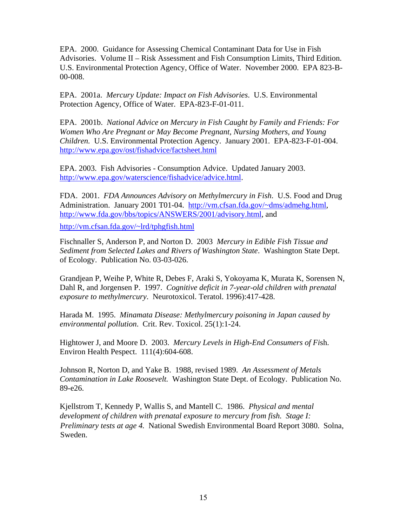EPA. 2000. Guidance for Assessing Chemical Contaminant Data for Use in Fish Advisories. Volume II – Risk Assessment and Fish Consumption Limits, Third Edition. U.S. Environmental Protection Agency, Office of Water. November 2000. EPA 823-B-00-008.

EPA. 2001a. *Mercury Update: Impact on Fish Advisories*. U.S. Environmental Protection Agency, Office of Water. EPA-823-F-01-011.

EPA. 2001b. *National Advice on Mercury in Fish Caught by Family and Friends: For Women Who Are Pregnant or May Become Pregnant, Nursing Mothers, and Young Children.* U.S. Environmental Protection Agency. January 2001. EPA-823-F-01-004. http://www.epa.gov/ost/fishadvice/factsheet.html

EPA. 2003. Fish Advisories - Consumption Advice. Updated January 2003. http://www.epa.gov/waterscience/fishadvice/advice.html.

FDA. 2001. *FDA Announces Advisory on Methylmercury in Fish*. U.S. Food and Drug Administration. January 2001 T01-04. http://vm.cfsan.fda.gov/~dms/admehg.html, http://www.fda.gov/bbs/topics/ANSWERS/2001/advisory.html, and

http://vm.cfsan.fda.gov/~lrd/tphgfish.html

Fischnaller S, Anderson P, and Norton D. 2003 *Mercury in Edible Fish Tissue and Sediment from Selected Lakes and Rivers of Washington State*. Washington State Dept. of Ecology. Publication No. 03-03-026.

Grandjean P, Weihe P, White R, Debes F, Araki S, Yokoyama K, Murata K, Sorensen N, Dahl R, and Jorgensen P. 1997. *Cognitive deficit in 7-year-old children with prenatal exposure to methylmercury*. Neurotoxicol. Teratol. 1996):417-428.

Harada M. 1995. *Minamata Disease: Methylmercury poisoning in Japan caused by environmental pollution*. Crit. Rev. Toxicol. 25(1):1-24.

Hightower J, and Moore D. 2003. *Mercury Levels in High-End Consumers of Fi*sh. Environ Health Pespect. 111(4):604-608.

Johnson R, Norton D, and Yake B. 1988, revised 1989. *An Assessment of Metals Contamination in Lake Roosevelt.* Washington State Dept. of Ecology. Publication No. 89-e26.

Kjellstrom T, Kennedy P, Wallis S, and Mantell C. 1986. *Physical and mental development of children with prenatal exposure to mercury from fish. Stage I: Preliminary tests at age 4.* National Swedish Environmental Board Report 3080. Solna, Sweden.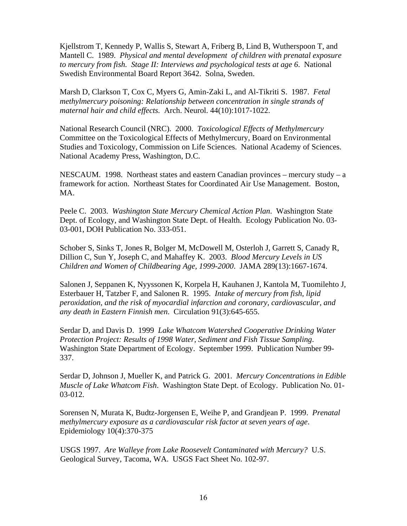Kjellstrom T, Kennedy P, Wallis S, Stewart A, Friberg B, Lind B, Wutherspoon T, and Mantell C. 1989. *Physical and mental development of children with prenatal exposure to mercury from fish. Stage II: Interviews and psychological tests at age 6*. National Swedish Environmental Board Report 3642. Solna, Sweden.

Marsh D, Clarkson T, Cox C, Myers G, Amin-Zaki L, and Al-Tikriti S. 1987. *Fetal methylmercury poisoning: Relationship between concentration in single strands of maternal hair and child effects.* Arch. Neurol. 44(10):1017-1022.

National Research Council (NRC). 2000. *Toxicological Effects of Methylmercury* Committee on the Toxicological Effects of Methylmercury, Board on Environmental Studies and Toxicology, Commission on Life Sciences. National Academy of Sciences. National Academy Press, Washington, D.C.

NESCAUM. 1998. Northeast states and eastern Canadian provinces – mercury study – a framework for action. Northeast States for Coordinated Air Use Management. Boston, MA.

Peele C. 2003. *Washington State Mercury Chemical Action Plan*. Washington State Dept. of Ecology, and Washington State Dept. of Health. Ecology Publication No. 03- 03-001, DOH Publication No. 333-051.

Schober S, Sinks T, Jones R, Bolger M, McDowell M, Osterloh J, Garrett S, Canady R, Dillion C, Sun Y, Joseph C, and Mahaffey K. 2003. *Blood Mercury Levels in US Children and Women of Childbearing Age, 1999-2000*. JAMA 289(13):1667-1674.

Salonen J, Seppanen K, Nyyssonen K, Korpela H, Kauhanen J, Kantola M, Tuomilehto J, Esterbauer H, Tatzber F, and Salonen R. 1995. *Intake of mercury from fish, lipid peroxidation, and the risk of myocardial infarction and coronary, cardiovascular, and any death in Eastern Finnish men*. Circulation 91(3):645-655.

Serdar D, and Davis D. 1999 *Lake Whatcom Watershed Cooperative Drinking Water Protection Project: Results of 1998 Water, Sediment and Fish Tissue Sampling*. Washington State Department of Ecology. September 1999. Publication Number 99- 337.

Serdar D, Johnson J, Mueller K, and Patrick G. 2001. *Mercury Concentrations in Edible Muscle of Lake Whatcom Fish*. Washington State Dept. of Ecology. Publication No. 01- 03-012.

Sorensen N, Murata K, Budtz-Jorgensen E, Weihe P, and Grandjean P. 1999. *Prenatal methylmercury exposure as a cardiovascular risk factor at seven years of age*. Epidemiology 10(4):370-375

USGS 1997. *Are Walleye from Lake Roosevelt Contaminated with Mercury?* U.S. Geological Survey, Tacoma, WA. USGS Fact Sheet No. 102-97.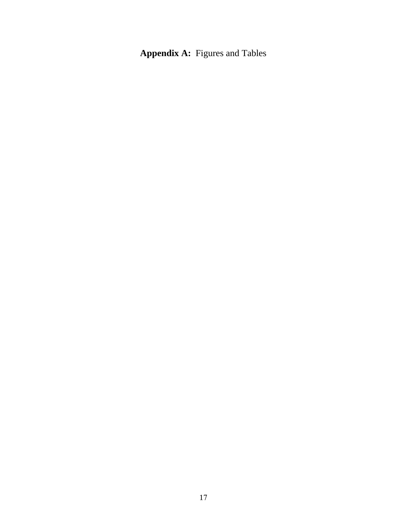**Appendix A:** Figures and Tables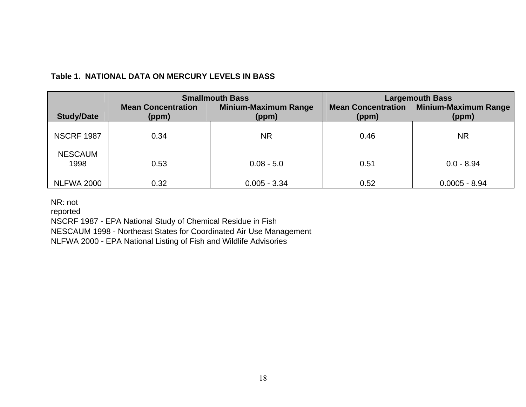|                        | <b>Smallmouth Bass</b>             |                                      | <b>Largemouth Bass</b>             |                                      |
|------------------------|------------------------------------|--------------------------------------|------------------------------------|--------------------------------------|
| <b>Study/Date</b>      | <b>Mean Concentration</b><br>(ppm) | <b>Minium-Maximum Range</b><br>(ppm) | <b>Mean Concentration</b><br>(ppm) | <b>Minium-Maximum Range</b><br>(ppm) |
| <b>NSCRF 1987</b>      | 0.34                               | <b>NR</b>                            | 0.46                               | <b>NR</b>                            |
| <b>NESCAUM</b><br>1998 | 0.53                               | $0.08 - 5.0$                         | 0.51                               | $0.0 - 8.94$                         |
| <b>NLFWA 2000</b>      | 0.32                               | $0.005 - 3.34$                       | 0.52                               | $0.0005 - 8.94$                      |

# **Table 1. NATIONAL DATA ON MERCURY LEVELS IN BASS**

NR: not

reported

NSCRF 1987 - EPA National Study of Chemical Residue in Fish

NESCAUM 1998 - Northeast States for Coordinated Air Use Management

NLFWA 2000 - EPA National Listing of Fish and Wildlife Advisories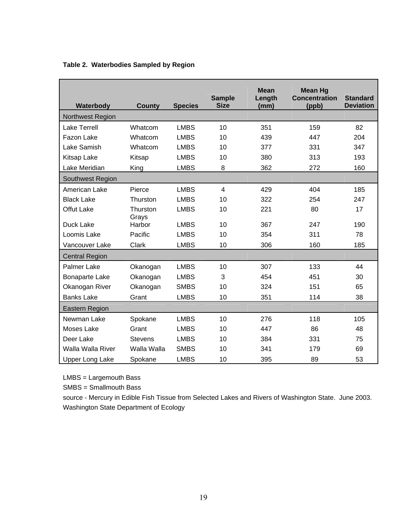| Waterbody               | <b>County</b>     | <b>Species</b> | <b>Sample</b><br><b>Size</b> | <b>Mean</b><br>Length<br>(mm) | <b>Mean Hg</b><br><b>Concentration</b><br>(ppb) | <b>Standard</b><br><b>Deviation</b> |
|-------------------------|-------------------|----------------|------------------------------|-------------------------------|-------------------------------------------------|-------------------------------------|
| <b>Northwest Region</b> |                   |                |                              |                               |                                                 |                                     |
| <b>Lake Terrell</b>     | Whatcom           | <b>LMBS</b>    | 10                           | 351                           | 159                                             | 82                                  |
| Fazon Lake              | Whatcom           | <b>LMBS</b>    | 10                           | 439                           | 447                                             | 204                                 |
| Lake Samish             | Whatcom           | <b>LMBS</b>    | 10                           | 377                           | 331                                             | 347                                 |
| Kitsap Lake             | Kitsap            | <b>LMBS</b>    | 10                           | 380                           | 313                                             | 193                                 |
| Lake Meridian           | King              | <b>LMBS</b>    | 8                            | 362                           | 272                                             | 160                                 |
| Southwest Region        |                   |                |                              |                               |                                                 |                                     |
| American Lake           | Pierce            | <b>LMBS</b>    | $\overline{4}$               | 429                           | 404                                             | 185                                 |
| <b>Black Lake</b>       | Thurston          | <b>LMBS</b>    | 10                           | 322                           | 254                                             | 247                                 |
| <b>Offut Lake</b>       | Thurston<br>Grays | <b>LMBS</b>    | 10                           | 221                           | 80                                              | 17                                  |
| Duck Lake               | Harbor            | <b>LMBS</b>    | 10                           | 367                           | 247                                             | 190                                 |
| Loomis Lake             | Pacific           | <b>LMBS</b>    | 10                           | 354                           | 311                                             | 78                                  |
| Vancouver Lake          | Clark             | <b>LMBS</b>    | 10                           | 306                           | 160                                             | 185                                 |
| <b>Central Region</b>   |                   |                |                              |                               |                                                 |                                     |
| <b>Palmer Lake</b>      | Okanogan          | <b>LMBS</b>    | 10                           | 307                           | 133                                             | 44                                  |
| <b>Bonaparte Lake</b>   | Okanogan          | <b>LMBS</b>    | 3                            | 454                           | 451                                             | 30                                  |
| Okanogan River          | Okanogan          | <b>SMBS</b>    | 10                           | 324                           | 151                                             | 65                                  |
| <b>Banks Lake</b>       | Grant             | <b>LMBS</b>    | 10                           | 351                           | 114                                             | 38                                  |
| Eastern Region          |                   |                |                              |                               |                                                 |                                     |
| Newman Lake             | Spokane           | <b>LMBS</b>    | 10                           | 276                           | 118                                             | 105                                 |
| Moses Lake              | Grant             | <b>LMBS</b>    | 10                           | 447                           | 86                                              | 48                                  |
| Deer Lake               | <b>Stevens</b>    | <b>LMBS</b>    | 10                           | 384                           | 331                                             | 75                                  |
| Walla Walla River       | Walla Walla       | <b>SMBS</b>    | 10                           | 341                           | 179                                             | 69                                  |
| <b>Upper Long Lake</b>  | Spokane           | <b>LMBS</b>    | 10                           | 395                           | 89                                              | 53                                  |

## **Table 2. Waterbodies Sampled by Region**

LMBS = Largemouth Bass

SMBS = Smallmouth Bass

source - Mercury in Edible Fish Tissue from Selected Lakes and Rivers of Washington State. June 2003. Washington State Department of Ecology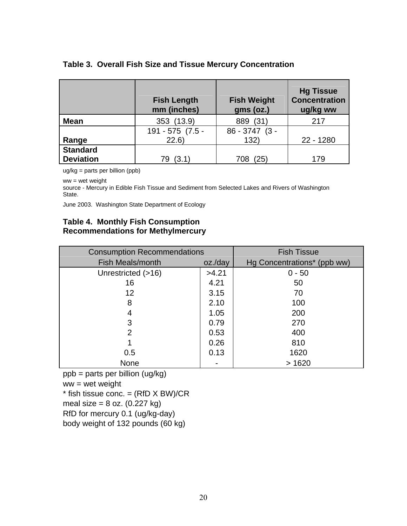## **Table 3. Overall Fish Size and Tissue Mercury Concentration**

|                  | <b>Fish Length</b><br>mm (inches) | <b>Fish Weight</b><br>gms (oz.) | <b>Hg Tissue</b><br><b>Concentration</b><br>ug/kg ww |
|------------------|-----------------------------------|---------------------------------|------------------------------------------------------|
| <b>Mean</b>      | 353 (13.9)                        | 889 (31)                        | 217                                                  |
|                  | 191 - 575 (7.5 -                  | $86 - 3747$ (3 -                |                                                      |
| Range            | 22.6                              | 132)                            | 22 - 1280                                            |
| <b>Standard</b>  |                                   |                                 |                                                      |
| <b>Deviation</b> | (3.1)                             | (25)<br>708                     | 179                                                  |

ug/kg = parts per billion (ppb)

ww = wet weight

source - Mercury in Edible Fish Tissue and Sediment from Selected Lakes and Rivers of Washington State.

June 2003. Washington State Department of Ecology

## **Table 4. Monthly Fish Consumption Recommendations for Methylmercury**

| <b>Consumption Recommendations</b> | <b>Fish Tissue</b> |                             |
|------------------------------------|--------------------|-----------------------------|
| <b>Fish Meals/month</b>            | oz./day            | Hg Concentrations* (ppb ww) |
| Unrestricted (>16)                 | >4.21              | $0 - 50$                    |
| 16                                 | 4.21               | 50                          |
| 12 <sup>2</sup>                    | 3.15               | 70                          |
| 8                                  | 2.10               | 100                         |
| 4                                  | 1.05               | 200                         |
| 3                                  | 0.79               | 270                         |
| $\overline{2}$                     | 0.53               | 400                         |
|                                    | 0.26               | 810                         |
| 0.5                                | 0.13               | 1620                        |
| None                               |                    | >1620                       |

ppb = parts per billion (ug/kg)

ww = wet weight

 $*$  fish tissue conc. = (RfD  $\times$  BW)/CR

meal size =  $8$  oz. (0.227 kg)

RfD for mercury 0.1 (ug/kg-day)

body weight of 132 pounds (60 kg)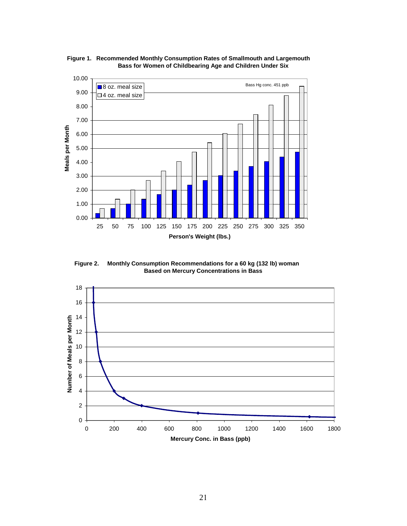

**Recommended Monthly Consumption Rates of Smallmouth and Largemouth Figure 1. Bass for Women of Childbearing Age and Children Under Six**

**Monthly Consumption Recommendations for a 60 kg (132 lb) woman Based on Mercury Concentrations in Bass Figure 2.**

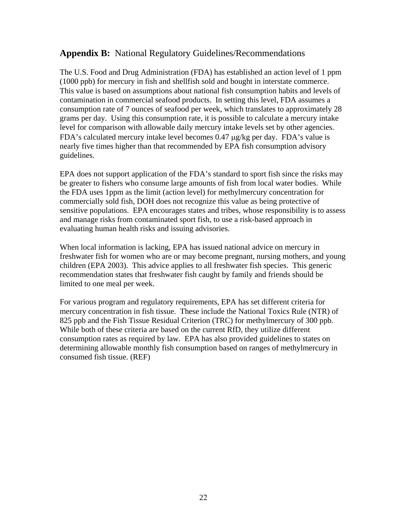# **Appendix B:** National Regulatory Guidelines/Recommendations

The U.S. Food and Drug Administration (FDA) has established an action level of 1 ppm (1000 ppb) for mercury in fish and shellfish sold and bought in interstate commerce. This value is based on assumptions about national fish consumption habits and levels of contamination in commercial seafood products. In setting this level, FDA assumes a consumption rate of 7 ounces of seafood per week, which translates to approximately 28 grams per day. Using this consumption rate, it is possible to calculate a mercury intake level for comparison with allowable daily mercury intake levels set by other agencies. FDA's calculated mercury intake level becomes 0.47 µg/kg per day. FDA's value is nearly five times higher than that recommended by EPA fish consumption advisory guidelines.

EPA does not support application of the FDA's standard to sport fish since the risks may be greater to fishers who consume large amounts of fish from local water bodies. While the FDA uses 1ppm as the limit (action level) for methylmercury concentration for commercially sold fish, DOH does not recognize this value as being protective of sensitive populations. EPA encourages states and tribes, whose responsibility is to assess and manage risks from contaminated sport fish, to use a risk-based approach in evaluating human health risks and issuing advisories.

When local information is lacking, EPA has issued national advice on mercury in freshwater fish for women who are or may become pregnant, nursing mothers, and young children (EPA 2003). This advice applies to all freshwater fish species. This generic recommendation states that freshwater fish caught by family and friends should be limited to one meal per week.

For various program and regulatory requirements, EPA has set different criteria for mercury concentration in fish tissue. These include the National Toxics Rule (NTR) of 825 ppb and the Fish Tissue Residual Criterion (TRC) for methylmercury of 300 ppb. While both of these criteria are based on the current RfD, they utilize different consumption rates as required by law. EPA has also provided guidelines to states on determining allowable monthly fish consumption based on ranges of methylmercury in consumed fish tissue. (REF)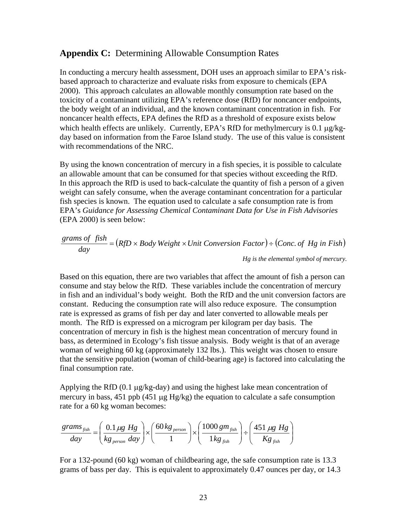## **Appendix C:** Determining Allowable Consumption Rates

In conducting a mercury health assessment, DOH uses an approach similar to EPA's riskbased approach to characterize and evaluate risks from exposure to chemicals (EPA 2000). This approach calculates an allowable monthly consumption rate based on the toxicity of a contaminant utilizing EPA's reference dose (RfD) for noncancer endpoints, the body weight of an individual, and the known contaminant concentration in fish. For noncancer health effects, EPA defines the RfD as a threshold of exposure exists below which health effects are unlikely. Currently, EPA's RfD for methylmercury is 0.1  $\mu$ g/kgday based on information from the Faroe Island study. The use of this value is consistent with recommendations of the NRC.

By using the known concentration of mercury in a fish species, it is possible to calculate an allowable amount that can be consumed for that species without exceeding the RfD. In this approach the RfD is used to back-calculate the quantity of fish a person of a given weight can safely consume, when the average contaminant concentration for a particular fish species is known. The equation used to calculate a safe consumption rate is from EPA's *Guidance for Assessing Chemical Contaminant Data for Use in Fish Advisories* (EPA 2000) is seen below:

$$
\frac{grams\ of\ fish}{day} = (RfD \times Body\ Weight \times Unit\ Conversion\ Factor) \div (Conc.\ of\ Hg\ in\ Fish)
$$
  
Hg is the elemental symbol of mercury.

Based on this equation, there are two variables that affect the amount of fish a person can consume and stay below the RfD. These variables include the concentration of mercury in fish and an individual's body weight. Both the RfD and the unit conversion factors are constant. Reducing the consumption rate will also reduce exposure. The consumption rate is expressed as grams of fish per day and later converted to allowable meals per month. The RfD is expressed on a microgram per kilogram per day basis. The concentration of mercury in fish is the highest mean concentration of mercury found in bass, as determined in Ecology's fish tissue analysis. Body weight is that of an average woman of weighing 60 kg (approximately 132 lbs.). This weight was chosen to ensure that the sensitive population (woman of child-bearing age) is factored into calculating the final consumption rate.

Applying the RfD  $(0.1 \mu g/kg$ -day) and using the highest lake mean concentration of mercury in bass, 451 ppb (451 µg Hg/kg) the equation to calculate a safe consumption rate for a 60 kg woman becomes:

$$
\frac{grams_{fish}}{day} = \left(\frac{0.1 \,\mu g \, Hg}{kg_{person} \, day}\right) \times \left(\frac{60 \, kg_{person}}{1}\right) \times \left(\frac{1000 \, gm_{fish}}{1 \, kg_{fish}}\right) \div \left(\frac{451 \, \mu g \, Hg}{Kg_{fish}}\right)
$$

For a 132-pound (60 kg) woman of childbearing age, the safe consumption rate is 13.3 grams of bass per day. This is equivalent to approximately 0.47 ounces per day, or 14.3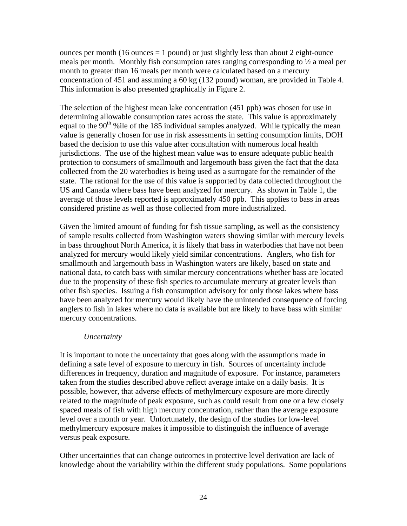ounces per month (16 ounces  $= 1$  pound) or just slightly less than about 2 eight-ounce meals per month. Monthly fish consumption rates ranging corresponding to  $\frac{1}{2}$  a meal per month to greater than 16 meals per month were calculated based on a mercury concentration of 451 and assuming a 60 kg (132 pound) woman, are provided in Table 4. This information is also presented graphically in Figure 2.

The selection of the highest mean lake concentration (451 ppb) was chosen for use in determining allowable consumption rates across the state. This value is approximately equal to the 90<sup>th</sup> % ile of the 185 individual samples analyzed. While typically the mean value is generally chosen for use in risk assessments in setting consumption limits, DOH based the decision to use this value after consultation with numerous local health jurisdictions. The use of the highest mean value was to ensure adequate public health protection to consumers of smallmouth and largemouth bass given the fact that the data collected from the 20 waterbodies is being used as a surrogate for the remainder of the state. The rational for the use of this value is supported by data collected throughout the US and Canada where bass have been analyzed for mercury. As shown in Table 1, the average of those levels reported is approximately 450 ppb. This applies to bass in areas considered pristine as well as those collected from more industrialized.

Given the limited amount of funding for fish tissue sampling, as well as the consistency of sample results collected from Washington waters showing similar with mercury levels in bass throughout North America, it is likely that bass in waterbodies that have not been analyzed for mercury would likely yield similar concentrations. Anglers, who fish for smallmouth and largemouth bass in Washington waters are likely, based on state and national data, to catch bass with similar mercury concentrations whether bass are located due to the propensity of these fish species to accumulate mercury at greater levels than other fish species. Issuing a fish consumption advisory for only those lakes where bass have been analyzed for mercury would likely have the unintended consequence of forcing anglers to fish in lakes where no data is available but are likely to have bass with similar mercury concentrations.

## *Uncertainty*

It is important to note the uncertainty that goes along with the assumptions made in defining a safe level of exposure to mercury in fish. Sources of uncertainty include differences in frequency, duration and magnitude of exposure. For instance, parameters taken from the studies described above reflect average intake on a daily basis. It is possible, however, that adverse effects of methylmercury exposure are more directly related to the magnitude of peak exposure, such as could result from one or a few closely spaced meals of fish with high mercury concentration, rather than the average exposure level over a month or year. Unfortunately, the design of the studies for low-level methylmercury exposure makes it impossible to distinguish the influence of average versus peak exposure.

Other uncertainties that can change outcomes in protective level derivation are lack of knowledge about the variability within the different study populations. Some populations